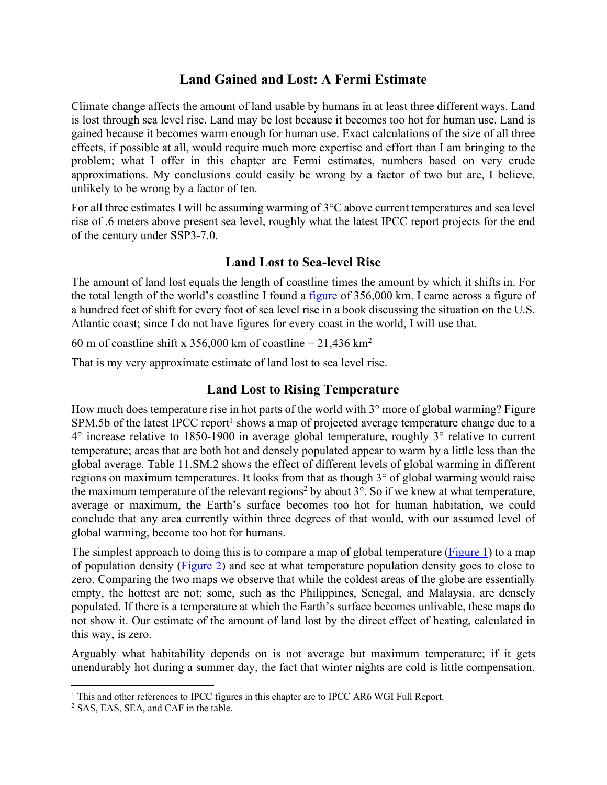## **Land Gained and Lost: A Fermi Estimate**

Climate change affects the amount of land usable by humans in at least three different ways. Land is lost through sea level rise. Land may be lost because it becomes too hot for human use. Land is gained because it becomes warm enough for human use. Exact calculations of the size of all three effects, if possible at all, would require much more expertise and effort than I am bringing to the problem; what I offer in this chapter are Fermi estimates, numbers based on very crude approximations. My conclusions could easily be wrong by a factor of two but are, I believe, unlikely to be wrong by a factor of ten.

For all three estimates I will be assuming warming of 3°C above current temperatures and sea level rise of .6 meters above present sea level, roughly what the latest IPCC report projects for the end of the century under SSP3-7.0.

#### **Land Lost to Sea-level Rise**

The amount of land lost equals the length of coastline times the amount by which it shifts in. For the total length of the world's coastline I found a figure of 356,000 km. I came across a figure of a hundred feet of shift for every foot of sea level rise in a book discussing the situation on the U.S. Atlantic coast; since I do not have figures for every coast in the world, I will use that.

60 m of coastline shift x 356,000 km of coastline =  $21,436$  km<sup>2</sup>

That is my very approximate estimate of land lost to sea level rise.

### **Land Lost to Rising Temperature**

How much does temperature rise in hot parts of the world with  $3^{\circ}$  more of global warming? Figure SPM.5b of the latest IPCC report<sup>1</sup> shows a map of projected average temperature change due to a 4° increase relative to 1850-1900 in average global temperature, roughly 3° relative to current temperature; areas that are both hot and densely populated appear to warm by a little less than the global average. Table 11.SM.2 shows the effect of different levels of global warming in different regions on maximum temperatures. It looks from that as though 3° of global warming would raise the maximum temperature of the relevant regions<sup>2</sup> by about  $3^\circ$ . So if we knew at what temperature, average or maximum, the Earth's surface becomes too hot for human habitation, we could conclude that any area currently within three degrees of that would, with our assumed level of global warming, become too hot for humans.

The simplest approach to doing this is to compare a map of global temperature (Figure 1) to a map of population density (Figure 2) and see at what temperature population density goes to close to zero. Comparing the two maps we observe that while the coldest areas of the globe are essentially empty, the hottest are not; some, such as the Philippines, Senegal, and Malaysia, are densely populated. If there is a temperature at which the Earth's surface becomes unlivable, these maps do not show it. Our estimate of the amount of land lost by the direct effect of heating, calculated in this way, is zero.

Arguably what habitability depends on is not average but maximum temperature; if it gets unendurably hot during a summer day, the fact that winter nights are cold is little compensation.

<sup>&</sup>lt;sup>1</sup> This and other references to IPCC figures in this chapter are to IPCC AR6 WGI Full Report.

<sup>2</sup> SAS, EAS, SEA, and CAF in the table.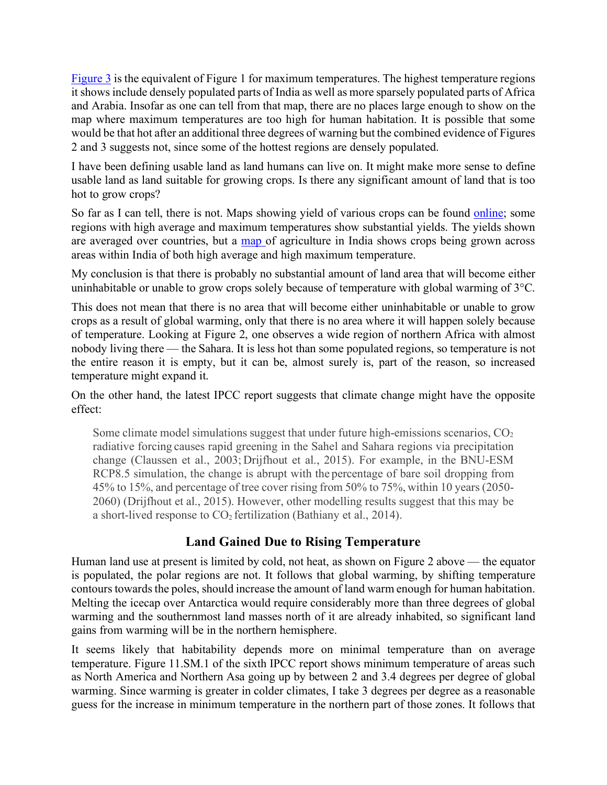Figure 3 is the equivalent of Figure 1 for maximum temperatures. The highest temperature regions it showsinclude densely populated parts of India as well as more sparsely populated parts of Africa and Arabia. Insofar as one can tell from that map, there are no places large enough to show on the map where maximum temperatures are too high for human habitation. It is possible that some would be that hot after an additional three degrees of warning but the combined evidence of Figures 2 and 3 suggests not, since some of the hottest regions are densely populated.

I have been defining usable land as land humans can live on. It might make more sense to define usable land as land suitable for growing crops. Is there any significant amount of land that is too hot to grow crops?

So far as I can tell, there is not. Maps showing yield of various crops can be found online; some regions with high average and maximum temperatures show substantial yields. The yields shown are averaged over countries, but a map of agriculture in India shows crops being grown across areas within India of both high average and high maximum temperature.

My conclusion is that there is probably no substantial amount of land area that will become either uninhabitable or unable to grow crops solely because of temperature with global warming of 3°C.

This does not mean that there is no area that will become either uninhabitable or unable to grow crops as a result of global warming, only that there is no area where it will happen solely because of temperature. Looking at Figure 2, one observes a wide region of northern Africa with almost nobody living there — the Sahara. It is less hot than some populated regions, so temperature is not the entire reason it is empty, but it can be, almost surely is, part of the reason, so increased temperature might expand it.

On the other hand, the latest IPCC report suggests that climate change might have the opposite effect:

Some climate model simulations suggest that under future high-emissions scenarios,  $CO<sub>2</sub>$ radiative forcing causes rapid greening in the Sahel and Sahara regions via precipitation change (Claussen et al., 2003; Drijfhout et al., 2015). For example, in the BNU-ESM RCP8.5 simulation, the change is abrupt with the percentage of bare soil dropping from 45% to 15%, and percentage of tree cover rising from 50% to 75%, within 10 years (2050- 2060) (Drijfhout et al., 2015). However, other modelling results suggest that this may be a short-lived response to  $CO<sub>2</sub>$  fertilization (Bathiany et al., 2014).

# **Land Gained Due to Rising Temperature**

Human land use at present is limited by cold, not heat, as shown on Figure 2 above — the equator is populated, the polar regions are not. It follows that global warming, by shifting temperature contours towards the poles, should increase the amount of land warm enough for human habitation. Melting the icecap over Antarctica would require considerably more than three degrees of global warming and the southernmost land masses north of it are already inhabited, so significant land gains from warming will be in the northern hemisphere.

It seems likely that habitability depends more on minimal temperature than on average temperature. Figure 11.SM.1 of the sixth IPCC report shows minimum temperature of areas such as North America and Northern Asa going up by between 2 and 3.4 degrees per degree of global warming. Since warming is greater in colder climates, I take 3 degrees per degree as a reasonable guess for the increase in minimum temperature in the northern part of those zones. It follows that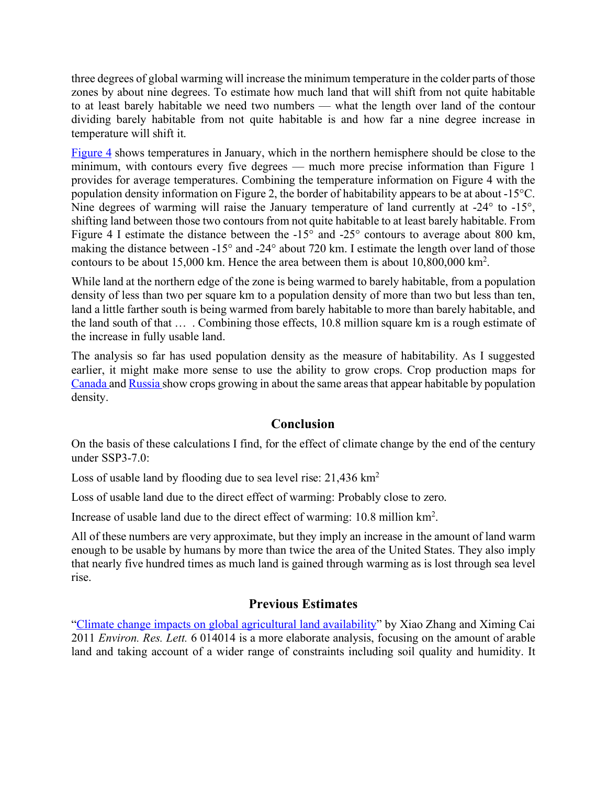three degrees of global warming will increase the minimum temperature in the colder parts of those zones by about nine degrees. To estimate how much land that will shift from not quite habitable to at least barely habitable we need two numbers — what the length over land of the contour dividing barely habitable from not quite habitable is and how far a nine degree increase in temperature will shift it.

Figure 4 shows temperatures in January, which in the northern hemisphere should be close to the minimum, with contours every five degrees — much more precise information than Figure 1 provides for average temperatures. Combining the temperature information on Figure 4 with the population density information on Figure 2, the border of habitability appears to be at about -15°C. Nine degrees of warming will raise the January temperature of land currently at -24° to -15°, shifting land between those two contours from not quite habitable to at least barely habitable. From Figure 4 I estimate the distance between the -15° and -25° contours to average about 800 km, making the distance between -15° and -24° about 720 km. I estimate the length over land of those contours to be about 15,000 km. Hence the area between them is about 10,800,000 km2 .

While land at the northern edge of the zone is being warmed to barely habitable, from a population density of less than two per square km to a population density of more than two but less than ten, land a little farther south is being warmed from barely habitable to more than barely habitable, and the land south of that … . Combining those effects, 10.8 million square km is a rough estimate of the increase in fully usable land.

The analysis so far has used population density as the measure of habitability. As I suggested earlier, it might make more sense to use the ability to grow crops. Crop production maps for Canada and Russia show crops growing in about the same areas that appear habitable by population density.

### **Conclusion**

On the basis of these calculations I find, for the effect of climate change by the end of the century under SSP3-7.0:

Loss of usable land by flooding due to sea level rise:  $21,436$  km<sup>2</sup>

Loss of usable land due to the direct effect of warming: Probably close to zero.

Increase of usable land due to the direct effect of warming: 10.8 million km<sup>2</sup>.

All of these numbers are very approximate, but they imply an increase in the amount of land warm enough to be usable by humans by more than twice the area of the United States. They also imply that nearly five hundred times as much land is gained through warming as is lost through sea level rise.

### **Previous Estimates**

"Climate change impacts on global agricultural land availability" by Xiao Zhang and Ximing Cai 2011 *Environ. Res. Lett.* 6 014014 is a more elaborate analysis, focusing on the amount of arable land and taking account of a wider range of constraints including soil quality and humidity. It